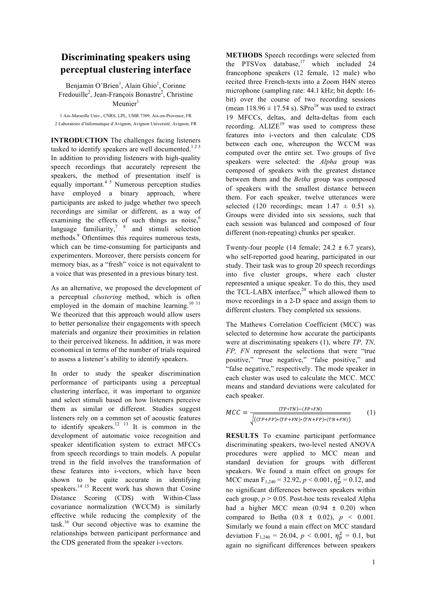## **Discriminating speakers using perceptual clustering interface**

Benjamin O'Brien<sup>1</sup>, Alain Ghio<sup>1</sup>, Corinne Fredouille<sup>2</sup>, Jean-François Bonastre<sup>2</sup>, Christine  $M$ eunier $<sup>1</sup>$ </sup>

1 Aix-Marseille Univ., CNRS, LPL, UMR 7309, Aix-en-Provence, FR 2 Laboratoire d'Informatique d'Avignon, Avignon Université, Avignon, FR

**INTRODUCTION** The challenges facing listeners tasked to identify speakers are well documented.<sup>123</sup> In addition to providing listeners with high-quality speech recordings that accurately represent the speakers, the method of presentation itself is equally important.<sup>45</sup> Numerous perception studies have employed a binary approach, where participants are asked to judge whether two speech recordings are similar or different, as a way of examining the effects of such things as noise,<sup>6</sup> language familiarity, $7 \times 8$  and stimuli selection methods. <sup>9</sup> Oftentimes this requires numerous tests, which can be time-consuming for participants and experimenters. Moreover, there persists concern for memory bias, as a "fresh" voice is not equivalent to a voice that was presented in a previous binary test.

As an alternative, we proposed the development of a perceptual *clustering* method, which is often employed in the domain of machine learning.<sup>10 11</sup> We theorized that this approach would allow users to better personalize their engagements with speech materials and organize their proximities in relation to their perceived likeness. In addition, it was more economical in terms of the number of trials required to assess a listener's ability to identify speakers.

In order to study the speaker discrimination performance of participants using a perceptual clustering interface, it was important to organize and select stimuli based on how listeners perceive them as similar or different. Studies suggest listeners rely on a common set of acoustic features to identify speakers.<sup>12</sup> <sup>13</sup> It is common in the development of automatic voice recognition and speaker identification system to extract MFCCs from speech recordings to train models. A popular trend in the field involves the transformation of these features into i-vectors, which have been shown to be quite accurate in identifying speakers.<sup>14 15</sup> Recent work has shown that Cosine Distance Scoring (CDS) with Within-Class covariance normalization (WCCM) is similarly effective while reducing the complexity of the task.<sup>16</sup> Our second objective was to examine the relationships between participant performance and the CDS generated from the speaker i-vectors.

**METHODS** Speech recordings were selected from the PTSVox database, <sup>17</sup> which included 24 francophone speakers (12 female, 12 male) who recited three French-texts into a Zoom H4N stereo microphone (sampling rate: 44.1 kHz; bit depth: 16 bit) over the course of two recording sessions (mean  $118.96 \pm 17.54$  s). SPro<sup>18</sup> was used to extract 19 MFCCs, deltas, and delta-deltas from each recording.  $ALIZE^{19}$  was used to compress these features into i-vectors and then calculate CDS between each one, whereupon the WCCM was computed over the entire set. Two groups of five speakers were selected: the *Alpha* group was composed of speakers with the greatest distance between them and the *Betha* group was composed of speakers with the smallest distance between them. For each speaker, twelve utterances were selected (120 recordings; mean  $1.47 \pm 0.51$  s). Groups were divided into six sessions, such that each session was balanced and composed of four different (non-repeating) chunks per speaker.

Twenty-four people (14 female;  $24.2 \pm 6.7$  years), who self-reported good hearing, participated in our study. Their task was to group 20 speech recordings into five cluster groups, where each cluster represented a unique speaker. To do this, they used the TCL-LABX interface, $2^0$  which allowed them to move recordings in a 2-D space and assign them to different clusters. They completed six sessions.

The Mathews Correlation Coefficient (MCC) was selected to determine how accurate the participants were at discriminating speakers (1), where *TP, TN, FP, FN* represent the selections that were "true positive," "true negative," "false positive," and "false negative," respectively. The mode speaker in each cluster was used to calculate the MCC. MCC means and standard deviations were calculated for each speaker.

$$
MCC = \frac{(TP * TN) - (FP * FN)}{\sqrt{((TP + FP) * (TP + FN) * (TN + FP) * (TN + FN))}}
$$
(1)

**RESULTS** To examine participant performance discriminating speakers, two-level nested ANOVA procedures were applied to MCC mean and standard deviation for groups with different speakers. We found a main effect on groups for MCC mean  $F_{1,240} = 32.92, p < 0.001, \eta_p^2 = 0.12$ , and no significant differences between speakers within each group,  $p > 0.05$ . Post-hoc tests revealed Alpha had a higher MCC mean  $(0.94 \pm 0.20)$  when compared to Betha  $(0.8 \pm 0.02)$ ,  $p < 0.001$ . Similarly we found a main effect on MCC standard deviation  $F_{1,240} = 26.04$ ,  $p < 0.001$ ,  $\eta_p^2 = 0.1$ , but again no significant differences between speakers